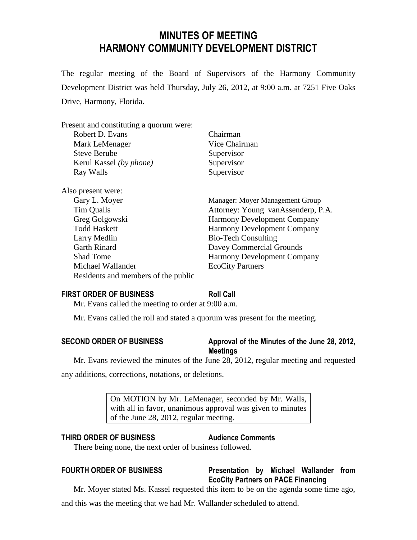# **MINUTES OF MEETING HARMONY COMMUNITY DEVELOPMENT DISTRICT**

The regular meeting of the Board of Supervisors of the Harmony Community Development District was held Thursday, July 26, 2012, at 9:00 a.m. at 7251 Five Oaks Drive, Harmony, Florida.

| Present and constituting a quorum were: |                                    |
|-----------------------------------------|------------------------------------|
| Robert D. Evans                         | Chairman                           |
| Mark LeMenager                          | Vice Chairman                      |
| <b>Steve Berube</b>                     | Supervisor                         |
| Kerul Kassel (by phone)                 | Supervisor                         |
| Ray Walls                               | Supervisor                         |
| Also present were:                      |                                    |
| Gary L. Moyer                           | Manager: Moyer Management Group    |
| Tim Qualls                              | Attorney: Young vanAssenderp, P.A. |
| Greg Golgowski                          | <b>Harmony Development Company</b> |
| <b>Todd Haskett</b>                     | <b>Harmony Development Company</b> |
| Larry Medlin                            | <b>Bio-Tech Consulting</b>         |
| <b>Garth Rinard</b>                     | Davey Commercial Grounds           |
| <b>Shad Tome</b>                        | Harmony Development Company        |
| Michael Wallander                       | <b>EcoCity Partners</b>            |
| Residents and members of the public     |                                    |

#### **FIRST ORDER OF BUSINESS Roll Call**

Mr. Evans called the meeting to order at 9:00 a.m.

Mr. Evans called the roll and stated a quorum was present for the meeting.

## **SECOND ORDER OF BUSINESS Approval of the Minutes of the June 28, 2012, Meetings**

Mr. Evans reviewed the minutes of the June 28, 2012, regular meeting and requested any additions, corrections, notations, or deletions.

> On MOTION by Mr. LeMenager, seconded by Mr. Walls, with all in favor, unanimous approval was given to minutes of the June 28, 2012, regular meeting.

### **THIRD ORDER OF BUSINESS Audience Comments**

There being none, the next order of business followed.

## **FOURTH ORDER OF BUSINESS Presentation by Michael Wallander from EcoCity Partners on PACE Financing**

Mr. Moyer stated Ms. Kassel requested this item to be on the agenda some time ago,

and this was the meeting that we had Mr. Wallander scheduled to attend.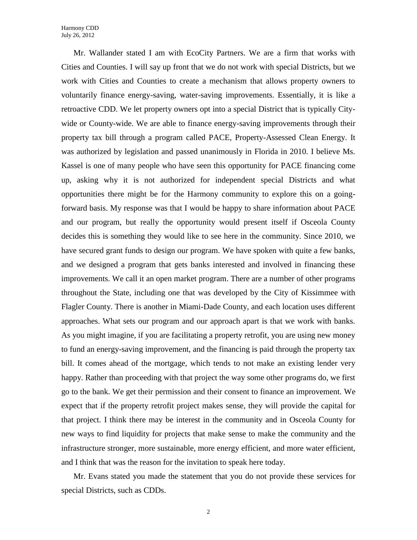Mr. Wallander stated I am with EcoCity Partners. We are a firm that works with Cities and Counties. I will say up front that we do not work with special Districts, but we work with Cities and Counties to create a mechanism that allows property owners to voluntarily finance energy-saving, water-saving improvements. Essentially, it is like a retroactive CDD. We let property owners opt into a special District that is typically Citywide or County-wide. We are able to finance energy-saving improvements through their property tax bill through a program called PACE, Property-Assessed Clean Energy. It was authorized by legislation and passed unanimously in Florida in 2010. I believe Ms. Kassel is one of many people who have seen this opportunity for PACE financing come up, asking why it is not authorized for independent special Districts and what opportunities there might be for the Harmony community to explore this on a goingforward basis. My response was that I would be happy to share information about PACE and our program, but really the opportunity would present itself if Osceola County decides this is something they would like to see here in the community. Since 2010, we have secured grant funds to design our program. We have spoken with quite a few banks, and we designed a program that gets banks interested and involved in financing these improvements. We call it an open market program. There are a number of other programs throughout the State, including one that was developed by the City of Kissimmee with Flagler County. There is another in Miami-Dade County, and each location uses different approaches. What sets our program and our approach apart is that we work with banks. As you might imagine, if you are facilitating a property retrofit, you are using new money to fund an energy-saving improvement, and the financing is paid through the property tax bill. It comes ahead of the mortgage, which tends to not make an existing lender very happy. Rather than proceeding with that project the way some other programs do, we first go to the bank. We get their permission and their consent to finance an improvement. We expect that if the property retrofit project makes sense, they will provide the capital for that project. I think there may be interest in the community and in Osceola County for new ways to find liquidity for projects that make sense to make the community and the infrastructure stronger, more sustainable, more energy efficient, and more water efficient, and I think that was the reason for the invitation to speak here today.

Mr. Evans stated you made the statement that you do not provide these services for special Districts, such as CDDs.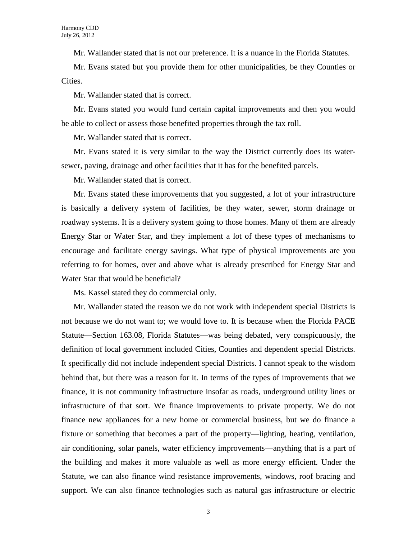Mr. Wallander stated that is not our preference. It is a nuance in the Florida Statutes.

Mr. Evans stated but you provide them for other municipalities, be they Counties or Cities.

Mr. Wallander stated that is correct.

Mr. Evans stated you would fund certain capital improvements and then you would be able to collect or assess those benefited properties through the tax roll.

Mr. Wallander stated that is correct.

Mr. Evans stated it is very similar to the way the District currently does its watersewer, paving, drainage and other facilities that it has for the benefited parcels.

Mr. Wallander stated that is correct.

Mr. Evans stated these improvements that you suggested, a lot of your infrastructure is basically a delivery system of facilities, be they water, sewer, storm drainage or roadway systems. It is a delivery system going to those homes. Many of them are already Energy Star or Water Star, and they implement a lot of these types of mechanisms to encourage and facilitate energy savings. What type of physical improvements are you referring to for homes, over and above what is already prescribed for Energy Star and Water Star that would be beneficial?

Ms. Kassel stated they do commercial only.

Mr. Wallander stated the reason we do not work with independent special Districts is not because we do not want to; we would love to. It is because when the Florida PACE Statute—Section 163.08, Florida Statutes—was being debated, very conspicuously, the definition of local government included Cities, Counties and dependent special Districts. It specifically did not include independent special Districts. I cannot speak to the wisdom behind that, but there was a reason for it. In terms of the types of improvements that we finance, it is not community infrastructure insofar as roads, underground utility lines or infrastructure of that sort. We finance improvements to private property. We do not finance new appliances for a new home or commercial business, but we do finance a fixture or something that becomes a part of the property—lighting, heating, ventilation, air conditioning, solar panels, water efficiency improvements—anything that is a part of the building and makes it more valuable as well as more energy efficient. Under the Statute, we can also finance wind resistance improvements, windows, roof bracing and support. We can also finance technologies such as natural gas infrastructure or electric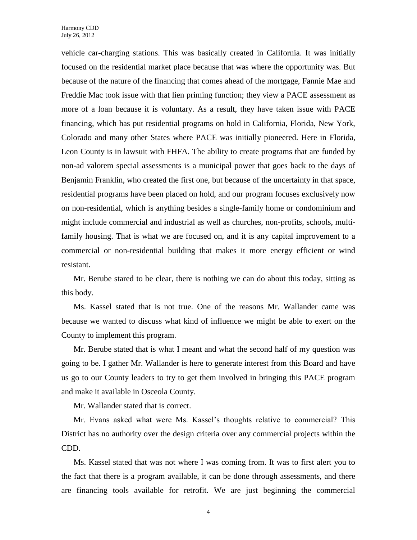vehicle car-charging stations. This was basically created in California. It was initially focused on the residential market place because that was where the opportunity was. But because of the nature of the financing that comes ahead of the mortgage, Fannie Mae and Freddie Mac took issue with that lien priming function; they view a PACE assessment as more of a loan because it is voluntary. As a result, they have taken issue with PACE financing, which has put residential programs on hold in California, Florida, New York, Colorado and many other States where PACE was initially pioneered. Here in Florida, Leon County is in lawsuit with FHFA. The ability to create programs that are funded by non-ad valorem special assessments is a municipal power that goes back to the days of Benjamin Franklin, who created the first one, but because of the uncertainty in that space, residential programs have been placed on hold, and our program focuses exclusively now on non-residential, which is anything besides a single-family home or condominium and might include commercial and industrial as well as churches, non-profits, schools, multifamily housing. That is what we are focused on, and it is any capital improvement to a commercial or non-residential building that makes it more energy efficient or wind resistant.

Mr. Berube stared to be clear, there is nothing we can do about this today, sitting as this body.

Ms. Kassel stated that is not true. One of the reasons Mr. Wallander came was because we wanted to discuss what kind of influence we might be able to exert on the County to implement this program.

Mr. Berube stated that is what I meant and what the second half of my question was going to be. I gather Mr. Wallander is here to generate interest from this Board and have us go to our County leaders to try to get them involved in bringing this PACE program and make it available in Osceola County.

Mr. Wallander stated that is correct.

Mr. Evans asked what were Ms. Kassel's thoughts relative to commercial? This District has no authority over the design criteria over any commercial projects within the CDD.

Ms. Kassel stated that was not where I was coming from. It was to first alert you to the fact that there is a program available, it can be done through assessments, and there are financing tools available for retrofit. We are just beginning the commercial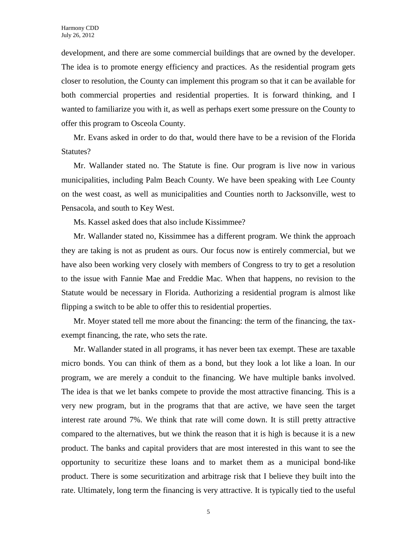development, and there are some commercial buildings that are owned by the developer. The idea is to promote energy efficiency and practices. As the residential program gets closer to resolution, the County can implement this program so that it can be available for both commercial properties and residential properties. It is forward thinking, and I wanted to familiarize you with it, as well as perhaps exert some pressure on the County to offer this program to Osceola County.

Mr. Evans asked in order to do that, would there have to be a revision of the Florida Statutes?

Mr. Wallander stated no. The Statute is fine. Our program is live now in various municipalities, including Palm Beach County. We have been speaking with Lee County on the west coast, as well as municipalities and Counties north to Jacksonville, west to Pensacola, and south to Key West.

Ms. Kassel asked does that also include Kissimmee?

Mr. Wallander stated no, Kissimmee has a different program. We think the approach they are taking is not as prudent as ours. Our focus now is entirely commercial, but we have also been working very closely with members of Congress to try to get a resolution to the issue with Fannie Mae and Freddie Mac. When that happens, no revision to the Statute would be necessary in Florida. Authorizing a residential program is almost like flipping a switch to be able to offer this to residential properties.

Mr. Moyer stated tell me more about the financing: the term of the financing, the taxexempt financing, the rate, who sets the rate.

Mr. Wallander stated in all programs, it has never been tax exempt. These are taxable micro bonds. You can think of them as a bond, but they look a lot like a loan. In our program, we are merely a conduit to the financing. We have multiple banks involved. The idea is that we let banks compete to provide the most attractive financing. This is a very new program, but in the programs that that are active, we have seen the target interest rate around 7%. We think that rate will come down. It is still pretty attractive compared to the alternatives, but we think the reason that it is high is because it is a new product. The banks and capital providers that are most interested in this want to see the opportunity to securitize these loans and to market them as a municipal bond-like product. There is some securitization and arbitrage risk that I believe they built into the rate. Ultimately, long term the financing is very attractive. It is typically tied to the useful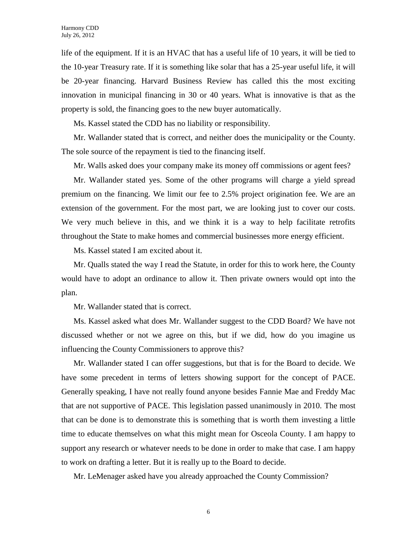life of the equipment. If it is an HVAC that has a useful life of 10 years, it will be tied to the 10-year Treasury rate. If it is something like solar that has a 25-year useful life, it will be 20-year financing. Harvard Business Review has called this the most exciting innovation in municipal financing in 30 or 40 years. What is innovative is that as the property is sold, the financing goes to the new buyer automatically.

Ms. Kassel stated the CDD has no liability or responsibility.

Mr. Wallander stated that is correct, and neither does the municipality or the County. The sole source of the repayment is tied to the financing itself.

Mr. Walls asked does your company make its money off commissions or agent fees?

Mr. Wallander stated yes. Some of the other programs will charge a yield spread premium on the financing. We limit our fee to 2.5% project origination fee. We are an extension of the government. For the most part, we are looking just to cover our costs. We very much believe in this, and we think it is a way to help facilitate retrofits throughout the State to make homes and commercial businesses more energy efficient.

Ms. Kassel stated I am excited about it.

Mr. Qualls stated the way I read the Statute, in order for this to work here, the County would have to adopt an ordinance to allow it. Then private owners would opt into the plan.

Mr. Wallander stated that is correct.

Ms. Kassel asked what does Mr. Wallander suggest to the CDD Board? We have not discussed whether or not we agree on this, but if we did, how do you imagine us influencing the County Commissioners to approve this?

Mr. Wallander stated I can offer suggestions, but that is for the Board to decide. We have some precedent in terms of letters showing support for the concept of PACE. Generally speaking, I have not really found anyone besides Fannie Mae and Freddy Mac that are not supportive of PACE. This legislation passed unanimously in 2010. The most that can be done is to demonstrate this is something that is worth them investing a little time to educate themselves on what this might mean for Osceola County. I am happy to support any research or whatever needs to be done in order to make that case. I am happy to work on drafting a letter. But it is really up to the Board to decide.

Mr. LeMenager asked have you already approached the County Commission?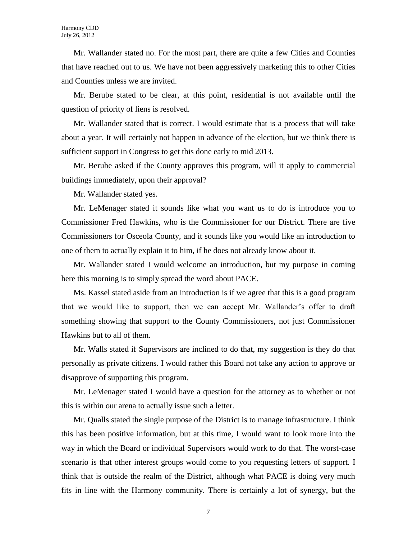Mr. Wallander stated no. For the most part, there are quite a few Cities and Counties that have reached out to us. We have not been aggressively marketing this to other Cities and Counties unless we are invited.

Mr. Berube stated to be clear, at this point, residential is not available until the question of priority of liens is resolved.

Mr. Wallander stated that is correct. I would estimate that is a process that will take about a year. It will certainly not happen in advance of the election, but we think there is sufficient support in Congress to get this done early to mid 2013.

Mr. Berube asked if the County approves this program, will it apply to commercial buildings immediately, upon their approval?

Mr. Wallander stated yes.

Mr. LeMenager stated it sounds like what you want us to do is introduce you to Commissioner Fred Hawkins, who is the Commissioner for our District. There are five Commissioners for Osceola County, and it sounds like you would like an introduction to one of them to actually explain it to him, if he does not already know about it.

Mr. Wallander stated I would welcome an introduction, but my purpose in coming here this morning is to simply spread the word about PACE.

Ms. Kassel stated aside from an introduction is if we agree that this is a good program that we would like to support, then we can accept Mr. Wallander's offer to draft something showing that support to the County Commissioners, not just Commissioner Hawkins but to all of them.

Mr. Walls stated if Supervisors are inclined to do that, my suggestion is they do that personally as private citizens. I would rather this Board not take any action to approve or disapprove of supporting this program.

Mr. LeMenager stated I would have a question for the attorney as to whether or not this is within our arena to actually issue such a letter.

Mr. Qualls stated the single purpose of the District is to manage infrastructure. I think this has been positive information, but at this time, I would want to look more into the way in which the Board or individual Supervisors would work to do that. The worst-case scenario is that other interest groups would come to you requesting letters of support. I think that is outside the realm of the District, although what PACE is doing very much fits in line with the Harmony community. There is certainly a lot of synergy, but the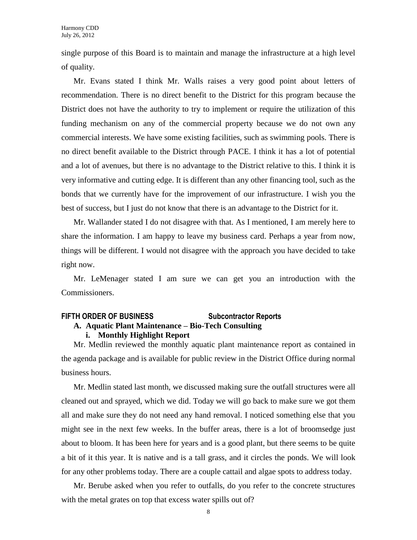single purpose of this Board is to maintain and manage the infrastructure at a high level of quality.

Mr. Evans stated I think Mr. Walls raises a very good point about letters of recommendation. There is no direct benefit to the District for this program because the District does not have the authority to try to implement or require the utilization of this funding mechanism on any of the commercial property because we do not own any commercial interests. We have some existing facilities, such as swimming pools. There is no direct benefit available to the District through PACE. I think it has a lot of potential and a lot of avenues, but there is no advantage to the District relative to this. I think it is very informative and cutting edge. It is different than any other financing tool, such as the bonds that we currently have for the improvement of our infrastructure. I wish you the best of success, but I just do not know that there is an advantage to the District for it.

Mr. Wallander stated I do not disagree with that. As I mentioned, I am merely here to share the information. I am happy to leave my business card. Perhaps a year from now, things will be different. I would not disagree with the approach you have decided to take right now.

Mr. LeMenager stated I am sure we can get you an introduction with the Commissioners.

#### **FIFTH ORDER OF BUSINESS Subcontractor Reports A. Aquatic Plant Maintenance – Bio-Tech Consulting i. Monthly Highlight Report**

Mr. Medlin reviewed the monthly aquatic plant maintenance report as contained in the agenda package and is available for public review in the District Office during normal business hours.

Mr. Medlin stated last month, we discussed making sure the outfall structures were all cleaned out and sprayed, which we did. Today we will go back to make sure we got them all and make sure they do not need any hand removal. I noticed something else that you might see in the next few weeks. In the buffer areas, there is a lot of broomsedge just about to bloom. It has been here for years and is a good plant, but there seems to be quite a bit of it this year. It is native and is a tall grass, and it circles the ponds. We will look for any other problems today. There are a couple cattail and algae spots to address today.

Mr. Berube asked when you refer to outfalls, do you refer to the concrete structures with the metal grates on top that excess water spills out of?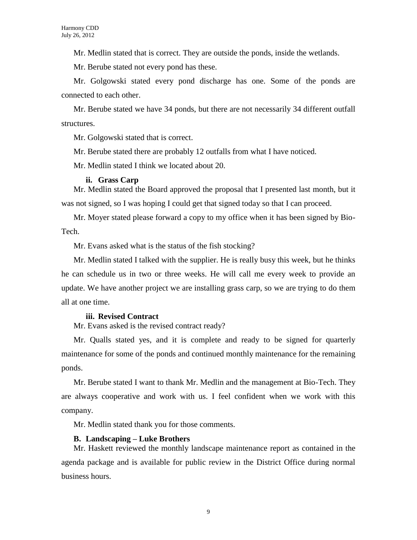Mr. Medlin stated that is correct. They are outside the ponds, inside the wetlands.

Mr. Berube stated not every pond has these.

Mr. Golgowski stated every pond discharge has one. Some of the ponds are connected to each other.

Mr. Berube stated we have 34 ponds, but there are not necessarily 34 different outfall structures.

Mr. Golgowski stated that is correct.

Mr. Berube stated there are probably 12 outfalls from what I have noticed.

Mr. Medlin stated I think we located about 20.

#### **ii. Grass Carp**

Mr. Medlin stated the Board approved the proposal that I presented last month, but it was not signed, so I was hoping I could get that signed today so that I can proceed.

Mr. Moyer stated please forward a copy to my office when it has been signed by Bio-Tech.

Mr. Evans asked what is the status of the fish stocking?

Mr. Medlin stated I talked with the supplier. He is really busy this week, but he thinks he can schedule us in two or three weeks. He will call me every week to provide an update. We have another project we are installing grass carp, so we are trying to do them all at one time.

#### **iii. Revised Contract**

Mr. Evans asked is the revised contract ready?

Mr. Qualls stated yes, and it is complete and ready to be signed for quarterly maintenance for some of the ponds and continued monthly maintenance for the remaining ponds.

Mr. Berube stated I want to thank Mr. Medlin and the management at Bio-Tech. They are always cooperative and work with us. I feel confident when we work with this company.

Mr. Medlin stated thank you for those comments.

### **B. Landscaping – Luke Brothers**

Mr. Haskett reviewed the monthly landscape maintenance report as contained in the agenda package and is available for public review in the District Office during normal business hours.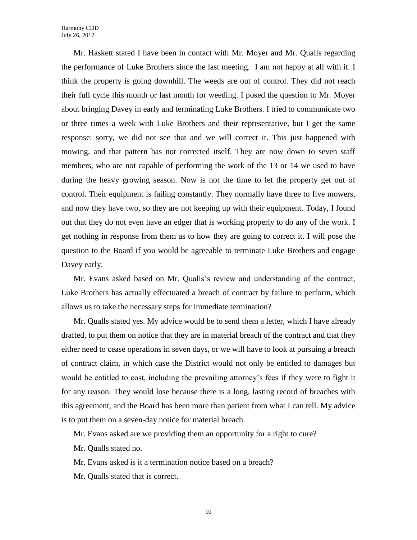Mr. Haskett stated I have been in contact with Mr. Moyer and Mr. Qualls regarding the performance of Luke Brothers since the last meeting. I am not happy at all with it. I think the property is going downhill. The weeds are out of control. They did not reach their full cycle this month or last month for weeding. I posed the question to Mr. Moyer about bringing Davey in early and terminating Luke Brothers. I tried to communicate two or three times a week with Luke Brothers and their representative, but I get the same response: sorry, we did not see that and we will correct it. This just happened with mowing, and that pattern has not corrected itself. They are now down to seven staff members, who are not capable of performing the work of the 13 or 14 we used to have during the heavy growing season. Now is not the time to let the property get out of control. Their equipment is failing constantly. They normally have three to five mowers, and now they have two, so they are not keeping up with their equipment. Today, I found out that they do not even have an edger that is working properly to do any of the work. I get nothing in response from them as to how they are going to correct it. I will pose the question to the Board if you would be agreeable to terminate Luke Brothers and engage Davey early.

Mr. Evans asked based on Mr. Qualls's review and understanding of the contract, Luke Brothers has actually effectuated a breach of contract by failure to perform, which allows us to take the necessary steps for immediate termination?

Mr. Qualls stated yes. My advice would be to send them a letter, which I have already drafted, to put them on notice that they are in material breach of the contract and that they either need to cease operations in seven days, or we will have to look at pursuing a breach of contract claim, in which case the District would not only be entitled to damages but would be entitled to cost, including the prevailing attorney's fees if they were to fight it for any reason. They would lose because there is a long, lasting record of breaches with this agreement, and the Board has been more than patient from what I can tell. My advice is to put them on a seven-day notice for material breach.

Mr. Evans asked are we providing them an opportunity for a right to cure?

Mr. Qualls stated no.

Mr. Evans asked is it a termination notice based on a breach?

Mr. Qualls stated that is correct.

10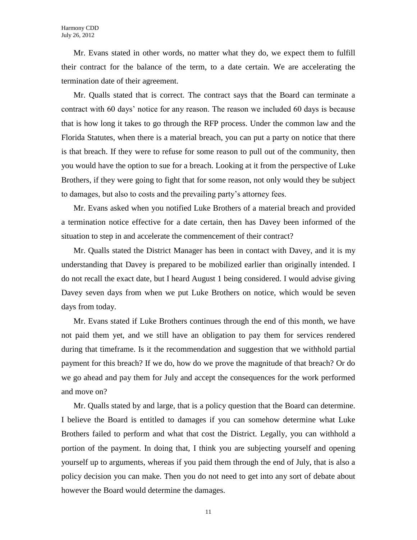Mr. Evans stated in other words, no matter what they do, we expect them to fulfill their contract for the balance of the term, to a date certain. We are accelerating the termination date of their agreement.

Mr. Qualls stated that is correct. The contract says that the Board can terminate a contract with 60 days' notice for any reason. The reason we included 60 days is because that is how long it takes to go through the RFP process. Under the common law and the Florida Statutes, when there is a material breach, you can put a party on notice that there is that breach. If they were to refuse for some reason to pull out of the community, then you would have the option to sue for a breach. Looking at it from the perspective of Luke Brothers, if they were going to fight that for some reason, not only would they be subject to damages, but also to costs and the prevailing party's attorney fees.

Mr. Evans asked when you notified Luke Brothers of a material breach and provided a termination notice effective for a date certain, then has Davey been informed of the situation to step in and accelerate the commencement of their contract?

Mr. Qualls stated the District Manager has been in contact with Davey, and it is my understanding that Davey is prepared to be mobilized earlier than originally intended. I do not recall the exact date, but I heard August 1 being considered. I would advise giving Davey seven days from when we put Luke Brothers on notice, which would be seven days from today.

Mr. Evans stated if Luke Brothers continues through the end of this month, we have not paid them yet, and we still have an obligation to pay them for services rendered during that timeframe. Is it the recommendation and suggestion that we withhold partial payment for this breach? If we do, how do we prove the magnitude of that breach? Or do we go ahead and pay them for July and accept the consequences for the work performed and move on?

Mr. Qualls stated by and large, that is a policy question that the Board can determine. I believe the Board is entitled to damages if you can somehow determine what Luke Brothers failed to perform and what that cost the District. Legally, you can withhold a portion of the payment. In doing that, I think you are subjecting yourself and opening yourself up to arguments, whereas if you paid them through the end of July, that is also a policy decision you can make. Then you do not need to get into any sort of debate about however the Board would determine the damages.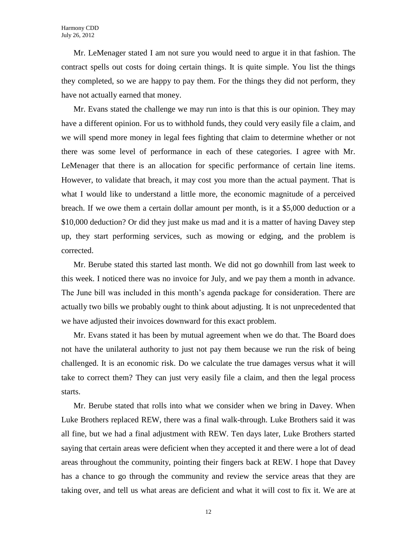Mr. LeMenager stated I am not sure you would need to argue it in that fashion. The contract spells out costs for doing certain things. It is quite simple. You list the things they completed, so we are happy to pay them. For the things they did not perform, they have not actually earned that money.

Mr. Evans stated the challenge we may run into is that this is our opinion. They may have a different opinion. For us to withhold funds, they could very easily file a claim, and we will spend more money in legal fees fighting that claim to determine whether or not there was some level of performance in each of these categories. I agree with Mr. LeMenager that there is an allocation for specific performance of certain line items. However, to validate that breach, it may cost you more than the actual payment. That is what I would like to understand a little more, the economic magnitude of a perceived breach. If we owe them a certain dollar amount per month, is it a \$5,000 deduction or a \$10,000 deduction? Or did they just make us mad and it is a matter of having Davey step up, they start performing services, such as mowing or edging, and the problem is corrected.

Mr. Berube stated this started last month. We did not go downhill from last week to this week. I noticed there was no invoice for July, and we pay them a month in advance. The June bill was included in this month's agenda package for consideration. There are actually two bills we probably ought to think about adjusting. It is not unprecedented that we have adjusted their invoices downward for this exact problem.

Mr. Evans stated it has been by mutual agreement when we do that. The Board does not have the unilateral authority to just not pay them because we run the risk of being challenged. It is an economic risk. Do we calculate the true damages versus what it will take to correct them? They can just very easily file a claim, and then the legal process starts.

Mr. Berube stated that rolls into what we consider when we bring in Davey. When Luke Brothers replaced REW, there was a final walk-through. Luke Brothers said it was all fine, but we had a final adjustment with REW. Ten days later, Luke Brothers started saying that certain areas were deficient when they accepted it and there were a lot of dead areas throughout the community, pointing their fingers back at REW. I hope that Davey has a chance to go through the community and review the service areas that they are taking over, and tell us what areas are deficient and what it will cost to fix it. We are at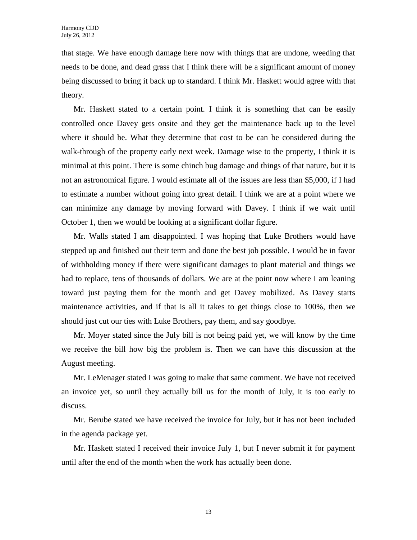that stage. We have enough damage here now with things that are undone, weeding that needs to be done, and dead grass that I think there will be a significant amount of money being discussed to bring it back up to standard. I think Mr. Haskett would agree with that theory.

Mr. Haskett stated to a certain point. I think it is something that can be easily controlled once Davey gets onsite and they get the maintenance back up to the level where it should be. What they determine that cost to be can be considered during the walk-through of the property early next week. Damage wise to the property, I think it is minimal at this point. There is some chinch bug damage and things of that nature, but it is not an astronomical figure. I would estimate all of the issues are less than \$5,000, if I had to estimate a number without going into great detail. I think we are at a point where we can minimize any damage by moving forward with Davey. I think if we wait until October 1, then we would be looking at a significant dollar figure.

Mr. Walls stated I am disappointed. I was hoping that Luke Brothers would have stepped up and finished out their term and done the best job possible. I would be in favor of withholding money if there were significant damages to plant material and things we had to replace, tens of thousands of dollars. We are at the point now where I am leaning toward just paying them for the month and get Davey mobilized. As Davey starts maintenance activities, and if that is all it takes to get things close to 100%, then we should just cut our ties with Luke Brothers, pay them, and say goodbye.

Mr. Moyer stated since the July bill is not being paid yet, we will know by the time we receive the bill how big the problem is. Then we can have this discussion at the August meeting.

Mr. LeMenager stated I was going to make that same comment. We have not received an invoice yet, so until they actually bill us for the month of July, it is too early to discuss.

Mr. Berube stated we have received the invoice for July, but it has not been included in the agenda package yet.

Mr. Haskett stated I received their invoice July 1, but I never submit it for payment until after the end of the month when the work has actually been done.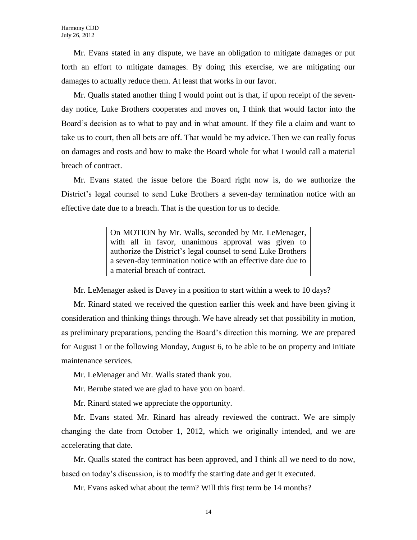Mr. Evans stated in any dispute, we have an obligation to mitigate damages or put forth an effort to mitigate damages. By doing this exercise, we are mitigating our damages to actually reduce them. At least that works in our favor.

Mr. Qualls stated another thing I would point out is that, if upon receipt of the sevenday notice, Luke Brothers cooperates and moves on, I think that would factor into the Board's decision as to what to pay and in what amount. If they file a claim and want to take us to court, then all bets are off. That would be my advice. Then we can really focus on damages and costs and how to make the Board whole for what I would call a material breach of contract.

Mr. Evans stated the issue before the Board right now is, do we authorize the District's legal counsel to send Luke Brothers a seven-day termination notice with an effective date due to a breach. That is the question for us to decide.

> On MOTION by Mr. Walls, seconded by Mr. LeMenager, with all in favor, unanimous approval was given to authorize the District's legal counsel to send Luke Brothers a seven-day termination notice with an effective date due to a material breach of contract.

Mr. LeMenager asked is Davey in a position to start within a week to 10 days?

Mr. Rinard stated we received the question earlier this week and have been giving it consideration and thinking things through. We have already set that possibility in motion, as preliminary preparations, pending the Board's direction this morning. We are prepared for August 1 or the following Monday, August 6, to be able to be on property and initiate maintenance services.

Mr. LeMenager and Mr. Walls stated thank you.

Mr. Berube stated we are glad to have you on board.

Mr. Rinard stated we appreciate the opportunity.

Mr. Evans stated Mr. Rinard has already reviewed the contract. We are simply changing the date from October 1, 2012, which we originally intended, and we are accelerating that date.

Mr. Qualls stated the contract has been approved, and I think all we need to do now, based on today's discussion, is to modify the starting date and get it executed.

Mr. Evans asked what about the term? Will this first term be 14 months?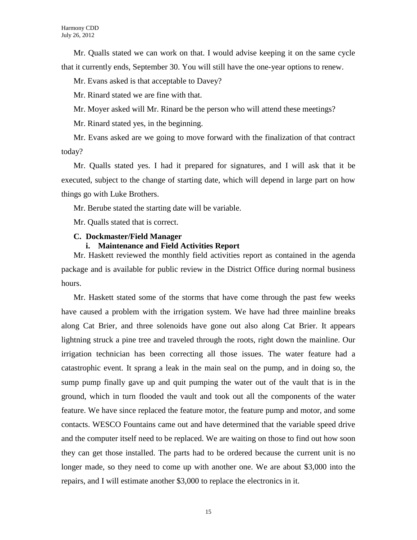Mr. Qualls stated we can work on that. I would advise keeping it on the same cycle that it currently ends, September 30. You will still have the one-year options to renew.

Mr. Evans asked is that acceptable to Davey?

Mr. Rinard stated we are fine with that.

Mr. Moyer asked will Mr. Rinard be the person who will attend these meetings?

Mr. Rinard stated yes, in the beginning.

Mr. Evans asked are we going to move forward with the finalization of that contract today?

Mr. Qualls stated yes. I had it prepared for signatures, and I will ask that it be executed, subject to the change of starting date, which will depend in large part on how things go with Luke Brothers.

Mr. Berube stated the starting date will be variable.

Mr. Qualls stated that is correct.

#### **C. Dockmaster/Field Manager**

#### **i. Maintenance and Field Activities Report**

Mr. Haskett reviewed the monthly field activities report as contained in the agenda package and is available for public review in the District Office during normal business hours.

Mr. Haskett stated some of the storms that have come through the past few weeks have caused a problem with the irrigation system. We have had three mainline breaks along Cat Brier, and three solenoids have gone out also along Cat Brier. It appears lightning struck a pine tree and traveled through the roots, right down the mainline. Our irrigation technician has been correcting all those issues. The water feature had a catastrophic event. It sprang a leak in the main seal on the pump, and in doing so, the sump pump finally gave up and quit pumping the water out of the vault that is in the ground, which in turn flooded the vault and took out all the components of the water feature. We have since replaced the feature motor, the feature pump and motor, and some contacts. WESCO Fountains came out and have determined that the variable speed drive and the computer itself need to be replaced. We are waiting on those to find out how soon they can get those installed. The parts had to be ordered because the current unit is no longer made, so they need to come up with another one. We are about \$3,000 into the repairs, and I will estimate another \$3,000 to replace the electronics in it.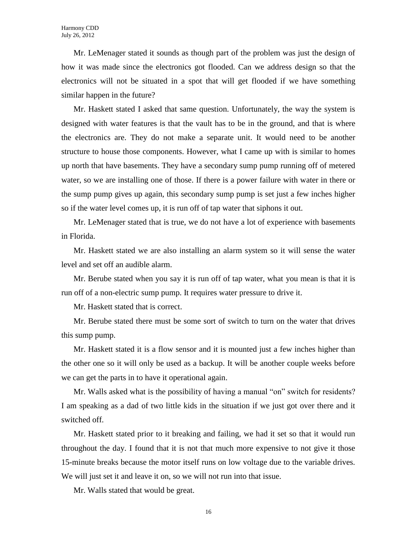Mr. LeMenager stated it sounds as though part of the problem was just the design of how it was made since the electronics got flooded. Can we address design so that the electronics will not be situated in a spot that will get flooded if we have something similar happen in the future?

Mr. Haskett stated I asked that same question. Unfortunately, the way the system is designed with water features is that the vault has to be in the ground, and that is where the electronics are. They do not make a separate unit. It would need to be another structure to house those components. However, what I came up with is similar to homes up north that have basements. They have a secondary sump pump running off of metered water, so we are installing one of those. If there is a power failure with water in there or the sump pump gives up again, this secondary sump pump is set just a few inches higher so if the water level comes up, it is run off of tap water that siphons it out.

Mr. LeMenager stated that is true, we do not have a lot of experience with basements in Florida.

Mr. Haskett stated we are also installing an alarm system so it will sense the water level and set off an audible alarm.

Mr. Berube stated when you say it is run off of tap water, what you mean is that it is run off of a non-electric sump pump. It requires water pressure to drive it.

Mr. Haskett stated that is correct.

Mr. Berube stated there must be some sort of switch to turn on the water that drives this sump pump.

Mr. Haskett stated it is a flow sensor and it is mounted just a few inches higher than the other one so it will only be used as a backup. It will be another couple weeks before we can get the parts in to have it operational again.

Mr. Walls asked what is the possibility of having a manual "on" switch for residents? I am speaking as a dad of two little kids in the situation if we just got over there and it switched off.

Mr. Haskett stated prior to it breaking and failing, we had it set so that it would run throughout the day. I found that it is not that much more expensive to not give it those 15-minute breaks because the motor itself runs on low voltage due to the variable drives. We will just set it and leave it on, so we will not run into that issue.

Mr. Walls stated that would be great.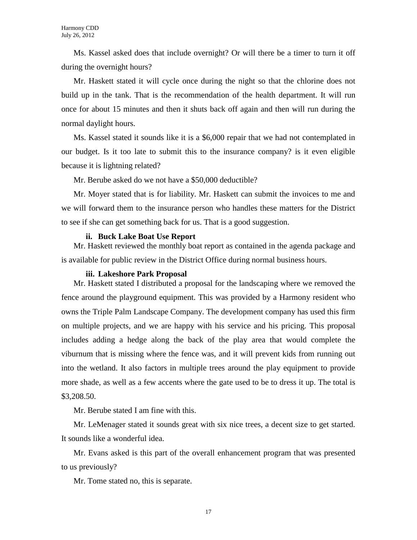Ms. Kassel asked does that include overnight? Or will there be a timer to turn it off during the overnight hours?

Mr. Haskett stated it will cycle once during the night so that the chlorine does not build up in the tank. That is the recommendation of the health department. It will run once for about 15 minutes and then it shuts back off again and then will run during the normal daylight hours.

Ms. Kassel stated it sounds like it is a \$6,000 repair that we had not contemplated in our budget. Is it too late to submit this to the insurance company? is it even eligible because it is lightning related?

Mr. Berube asked do we not have a \$50,000 deductible?

Mr. Moyer stated that is for liability. Mr. Haskett can submit the invoices to me and we will forward them to the insurance person who handles these matters for the District to see if she can get something back for us. That is a good suggestion.

#### **ii. Buck Lake Boat Use Report**

Mr. Haskett reviewed the monthly boat report as contained in the agenda package and is available for public review in the District Office during normal business hours.

#### **iii. Lakeshore Park Proposal**

Mr. Haskett stated I distributed a proposal for the landscaping where we removed the fence around the playground equipment. This was provided by a Harmony resident who owns the Triple Palm Landscape Company. The development company has used this firm on multiple projects, and we are happy with his service and his pricing. This proposal includes adding a hedge along the back of the play area that would complete the viburnum that is missing where the fence was, and it will prevent kids from running out into the wetland. It also factors in multiple trees around the play equipment to provide more shade, as well as a few accents where the gate used to be to dress it up. The total is \$3,208.50.

Mr. Berube stated I am fine with this.

Mr. LeMenager stated it sounds great with six nice trees, a decent size to get started. It sounds like a wonderful idea.

Mr. Evans asked is this part of the overall enhancement program that was presented to us previously?

Mr. Tome stated no, this is separate.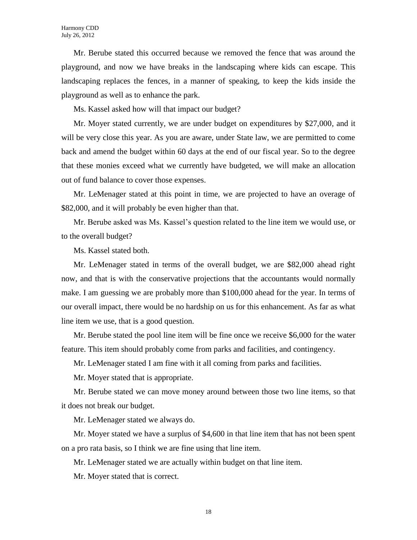Mr. Berube stated this occurred because we removed the fence that was around the playground, and now we have breaks in the landscaping where kids can escape. This landscaping replaces the fences, in a manner of speaking, to keep the kids inside the playground as well as to enhance the park.

Ms. Kassel asked how will that impact our budget?

Mr. Moyer stated currently, we are under budget on expenditures by \$27,000, and it will be very close this year. As you are aware, under State law, we are permitted to come back and amend the budget within 60 days at the end of our fiscal year. So to the degree that these monies exceed what we currently have budgeted, we will make an allocation out of fund balance to cover those expenses.

Mr. LeMenager stated at this point in time, we are projected to have an overage of \$82,000, and it will probably be even higher than that.

Mr. Berube asked was Ms. Kassel's question related to the line item we would use, or to the overall budget?

Ms. Kassel stated both.

Mr. LeMenager stated in terms of the overall budget, we are \$82,000 ahead right now, and that is with the conservative projections that the accountants would normally make. I am guessing we are probably more than \$100,000 ahead for the year. In terms of our overall impact, there would be no hardship on us for this enhancement. As far as what line item we use, that is a good question.

Mr. Berube stated the pool line item will be fine once we receive \$6,000 for the water feature. This item should probably come from parks and facilities, and contingency.

Mr. LeMenager stated I am fine with it all coming from parks and facilities.

Mr. Moyer stated that is appropriate.

Mr. Berube stated we can move money around between those two line items, so that it does not break our budget.

Mr. LeMenager stated we always do.

Mr. Moyer stated we have a surplus of \$4,600 in that line item that has not been spent on a pro rata basis, so I think we are fine using that line item.

Mr. LeMenager stated we are actually within budget on that line item.

Mr. Moyer stated that is correct.

18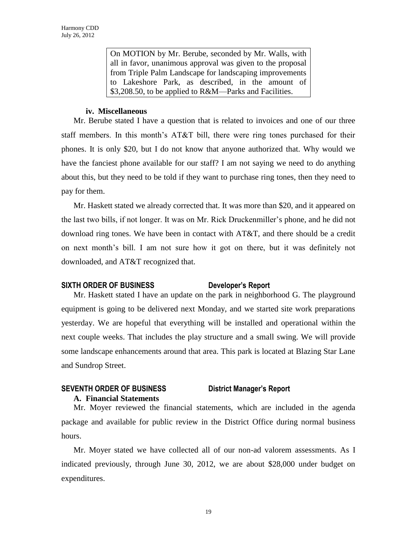On MOTION by Mr. Berube, seconded by Mr. Walls, with all in favor, unanimous approval was given to the proposal from Triple Palm Landscape for landscaping improvements to Lakeshore Park, as described, in the amount of \$3,208.50, to be applied to R&M—Parks and Facilities.

#### **iv. Miscellaneous**

Mr. Berube stated I have a question that is related to invoices and one of our three staff members. In this month's AT&T bill, there were ring tones purchased for their phones. It is only \$20, but I do not know that anyone authorized that. Why would we have the fanciest phone available for our staff? I am not saying we need to do anything about this, but they need to be told if they want to purchase ring tones, then they need to pay for them.

Mr. Haskett stated we already corrected that. It was more than \$20, and it appeared on the last two bills, if not longer. It was on Mr. Rick Druckenmiller's phone, and he did not download ring tones. We have been in contact with AT&T, and there should be a credit on next month's bill. I am not sure how it got on there, but it was definitely not downloaded, and AT&T recognized that.

## **SIXTH ORDER OF BUSINESS Developer's Report**

Mr. Haskett stated I have an update on the park in neighborhood G. The playground equipment is going to be delivered next Monday, and we started site work preparations yesterday. We are hopeful that everything will be installed and operational within the next couple weeks. That includes the play structure and a small swing. We will provide some landscape enhancements around that area. This park is located at Blazing Star Lane and Sundrop Street.

## **SEVENTH ORDER OF BUSINESS District Manager's Report A. Financial Statements**

Mr. Moyer reviewed the financial statements, which are included in the agenda package and available for public review in the District Office during normal business hours.

Mr. Moyer stated we have collected all of our non-ad valorem assessments. As I indicated previously, through June 30, 2012, we are about \$28,000 under budget on expenditures.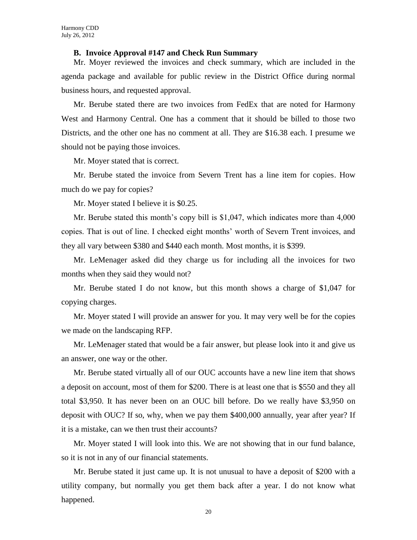#### **B. Invoice Approval #147 and Check Run Summary**

Mr. Moyer reviewed the invoices and check summary, which are included in the agenda package and available for public review in the District Office during normal business hours, and requested approval.

Mr. Berube stated there are two invoices from FedEx that are noted for Harmony West and Harmony Central. One has a comment that it should be billed to those two Districts, and the other one has no comment at all. They are \$16.38 each. I presume we should not be paying those invoices.

Mr. Moyer stated that is correct.

Mr. Berube stated the invoice from Severn Trent has a line item for copies. How much do we pay for copies?

Mr. Moyer stated I believe it is \$0.25.

Mr. Berube stated this month's copy bill is \$1,047, which indicates more than 4,000 copies. That is out of line. I checked eight months' worth of Severn Trent invoices, and they all vary between \$380 and \$440 each month. Most months, it is \$399.

Mr. LeMenager asked did they charge us for including all the invoices for two months when they said they would not?

Mr. Berube stated I do not know, but this month shows a charge of \$1,047 for copying charges.

Mr. Moyer stated I will provide an answer for you. It may very well be for the copies we made on the landscaping RFP.

Mr. LeMenager stated that would be a fair answer, but please look into it and give us an answer, one way or the other.

Mr. Berube stated virtually all of our OUC accounts have a new line item that shows a deposit on account, most of them for \$200. There is at least one that is \$550 and they all total \$3,950. It has never been on an OUC bill before. Do we really have \$3,950 on deposit with OUC? If so, why, when we pay them \$400,000 annually, year after year? If it is a mistake, can we then trust their accounts?

Mr. Moyer stated I will look into this. We are not showing that in our fund balance, so it is not in any of our financial statements.

Mr. Berube stated it just came up. It is not unusual to have a deposit of \$200 with a utility company, but normally you get them back after a year. I do not know what happened.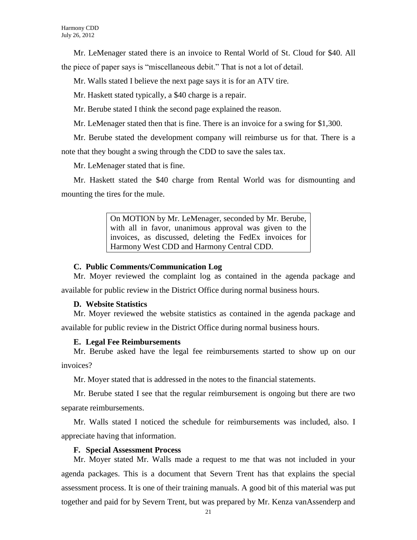Mr. LeMenager stated there is an invoice to Rental World of St. Cloud for \$40. All the piece of paper says is "miscellaneous debit." That is not a lot of detail.

Mr. Walls stated I believe the next page says it is for an ATV tire.

Mr. Haskett stated typically, a \$40 charge is a repair.

Mr. Berube stated I think the second page explained the reason.

Mr. LeMenager stated then that is fine. There is an invoice for a swing for \$1,300.

Mr. Berube stated the development company will reimburse us for that. There is a note that they bought a swing through the CDD to save the sales tax.

Mr. LeMenager stated that is fine.

Mr. Haskett stated the \$40 charge from Rental World was for dismounting and mounting the tires for the mule.

> On MOTION by Mr. LeMenager, seconded by Mr. Berube, with all in favor, unanimous approval was given to the invoices, as discussed, deleting the FedEx invoices for Harmony West CDD and Harmony Central CDD.

#### **C. Public Comments/Communication Log**

Mr. Moyer reviewed the complaint log as contained in the agenda package and available for public review in the District Office during normal business hours.

#### **D. Website Statistics**

Mr. Moyer reviewed the website statistics as contained in the agenda package and available for public review in the District Office during normal business hours.

#### **E. Legal Fee Reimbursements**

Mr. Berube asked have the legal fee reimbursements started to show up on our invoices?

Mr. Moyer stated that is addressed in the notes to the financial statements.

Mr. Berube stated I see that the regular reimbursement is ongoing but there are two separate reimbursements.

Mr. Walls stated I noticed the schedule for reimbursements was included, also. I appreciate having that information.

#### **F. Special Assessment Process**

Mr. Moyer stated Mr. Walls made a request to me that was not included in your agenda packages. This is a document that Severn Trent has that explains the special assessment process. It is one of their training manuals. A good bit of this material was put together and paid for by Severn Trent, but was prepared by Mr. Kenza vanAssenderp and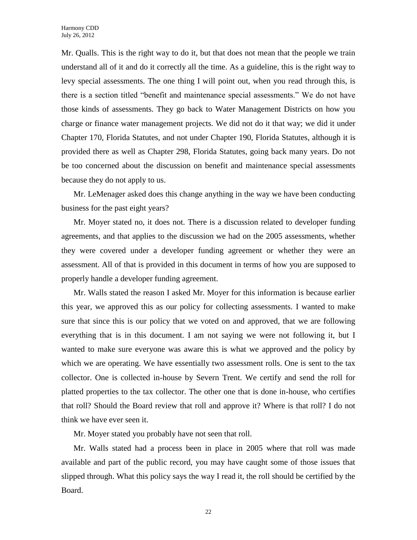Mr. Qualls. This is the right way to do it, but that does not mean that the people we train understand all of it and do it correctly all the time. As a guideline, this is the right way to levy special assessments. The one thing I will point out, when you read through this, is there is a section titled "benefit and maintenance special assessments." We do not have those kinds of assessments. They go back to Water Management Districts on how you charge or finance water management projects. We did not do it that way; we did it under Chapter 170, Florida Statutes, and not under Chapter 190, Florida Statutes, although it is provided there as well as Chapter 298, Florida Statutes, going back many years. Do not be too concerned about the discussion on benefit and maintenance special assessments because they do not apply to us.

Mr. LeMenager asked does this change anything in the way we have been conducting business for the past eight years?

Mr. Moyer stated no, it does not. There is a discussion related to developer funding agreements, and that applies to the discussion we had on the 2005 assessments, whether they were covered under a developer funding agreement or whether they were an assessment. All of that is provided in this document in terms of how you are supposed to properly handle a developer funding agreement.

Mr. Walls stated the reason I asked Mr. Moyer for this information is because earlier this year, we approved this as our policy for collecting assessments. I wanted to make sure that since this is our policy that we voted on and approved, that we are following everything that is in this document. I am not saying we were not following it, but I wanted to make sure everyone was aware this is what we approved and the policy by which we are operating. We have essentially two assessment rolls. One is sent to the tax collector. One is collected in-house by Severn Trent. We certify and send the roll for platted properties to the tax collector. The other one that is done in-house, who certifies that roll? Should the Board review that roll and approve it? Where is that roll? I do not think we have ever seen it.

Mr. Moyer stated you probably have not seen that roll.

Mr. Walls stated had a process been in place in 2005 where that roll was made available and part of the public record, you may have caught some of those issues that slipped through. What this policy says the way I read it, the roll should be certified by the Board.

22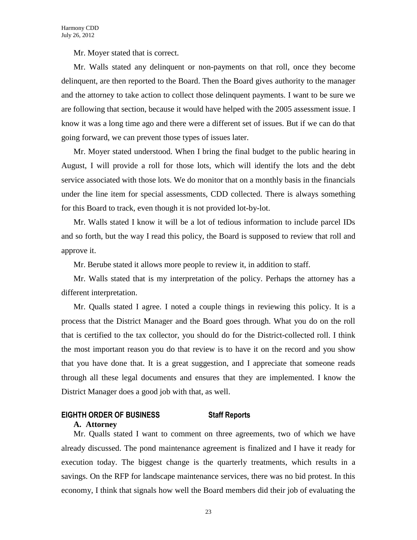Mr. Moyer stated that is correct.

Mr. Walls stated any delinquent or non-payments on that roll, once they become delinquent, are then reported to the Board. Then the Board gives authority to the manager and the attorney to take action to collect those delinquent payments. I want to be sure we are following that section, because it would have helped with the 2005 assessment issue. I know it was a long time ago and there were a different set of issues. But if we can do that going forward, we can prevent those types of issues later.

Mr. Moyer stated understood. When I bring the final budget to the public hearing in August, I will provide a roll for those lots, which will identify the lots and the debt service associated with those lots. We do monitor that on a monthly basis in the financials under the line item for special assessments, CDD collected. There is always something for this Board to track, even though it is not provided lot-by-lot.

Mr. Walls stated I know it will be a lot of tedious information to include parcel IDs and so forth, but the way I read this policy, the Board is supposed to review that roll and approve it.

Mr. Berube stated it allows more people to review it, in addition to staff.

Mr. Walls stated that is my interpretation of the policy. Perhaps the attorney has a different interpretation.

Mr. Qualls stated I agree. I noted a couple things in reviewing this policy. It is a process that the District Manager and the Board goes through. What you do on the roll that is certified to the tax collector, you should do for the District-collected roll. I think the most important reason you do that review is to have it on the record and you show that you have done that. It is a great suggestion, and I appreciate that someone reads through all these legal documents and ensures that they are implemented. I know the District Manager does a good job with that, as well.

#### **EIGHTH ORDER OF BUSINESS Staff Reports A. Attorney**

Mr. Qualls stated I want to comment on three agreements, two of which we have already discussed. The pond maintenance agreement is finalized and I have it ready for execution today. The biggest change is the quarterly treatments, which results in a savings. On the RFP for landscape maintenance services, there was no bid protest. In this economy, I think that signals how well the Board members did their job of evaluating the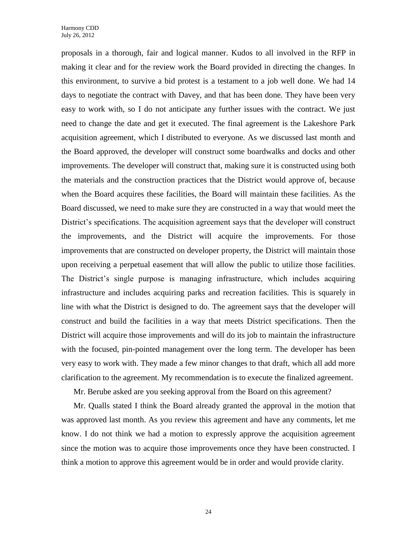proposals in a thorough, fair and logical manner. Kudos to all involved in the RFP in making it clear and for the review work the Board provided in directing the changes. In this environment, to survive a bid protest is a testament to a job well done. We had 14 days to negotiate the contract with Davey, and that has been done. They have been very easy to work with, so I do not anticipate any further issues with the contract. We just need to change the date and get it executed. The final agreement is the Lakeshore Park acquisition agreement, which I distributed to everyone. As we discussed last month and the Board approved, the developer will construct some boardwalks and docks and other improvements. The developer will construct that, making sure it is constructed using both the materials and the construction practices that the District would approve of, because when the Board acquires these facilities, the Board will maintain these facilities. As the Board discussed, we need to make sure they are constructed in a way that would meet the District's specifications. The acquisition agreement says that the developer will construct the improvements, and the District will acquire the improvements. For those improvements that are constructed on developer property, the District will maintain those upon receiving a perpetual easement that will allow the public to utilize those facilities. The District's single purpose is managing infrastructure, which includes acquiring infrastructure and includes acquiring parks and recreation facilities. This is squarely in line with what the District is designed to do. The agreement says that the developer will construct and build the facilities in a way that meets District specifications. Then the District will acquire those improvements and will do its job to maintain the infrastructure with the focused, pin-pointed management over the long term. The developer has been very easy to work with. They made a few minor changes to that draft, which all add more clarification to the agreement. My recommendation is to execute the finalized agreement.

Mr. Berube asked are you seeking approval from the Board on this agreement?

Mr. Qualls stated I think the Board already granted the approval in the motion that was approved last month. As you review this agreement and have any comments, let me know. I do not think we had a motion to expressly approve the acquisition agreement since the motion was to acquire those improvements once they have been constructed. I think a motion to approve this agreement would be in order and would provide clarity.

24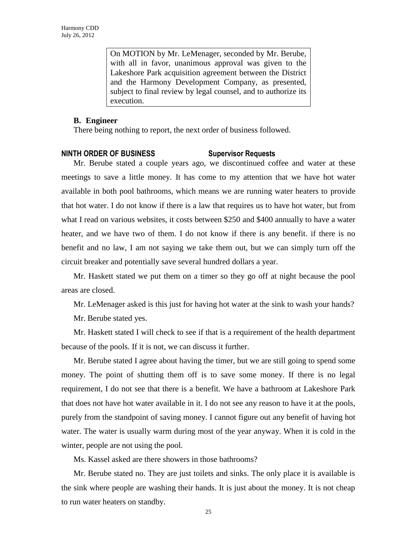On MOTION by Mr. LeMenager, seconded by Mr. Berube, with all in favor, unanimous approval was given to the Lakeshore Park acquisition agreement between the District and the Harmony Development Company, as presented, subject to final review by legal counsel, and to authorize its execution.

#### **B. Engineer**

There being nothing to report, the next order of business followed.

#### **NINTH ORDER OF BUSINESS Supervisor Requests**

Mr. Berube stated a couple years ago, we discontinued coffee and water at these meetings to save a little money. It has come to my attention that we have hot water available in both pool bathrooms, which means we are running water heaters to provide that hot water. I do not know if there is a law that requires us to have hot water, but from what I read on various websites, it costs between \$250 and \$400 annually to have a water heater, and we have two of them. I do not know if there is any benefit. if there is no benefit and no law, I am not saying we take them out, but we can simply turn off the circuit breaker and potentially save several hundred dollars a year.

Mr. Haskett stated we put them on a timer so they go off at night because the pool areas are closed.

Mr. LeMenager asked is this just for having hot water at the sink to wash your hands?

Mr. Berube stated yes.

Mr. Haskett stated I will check to see if that is a requirement of the health department because of the pools. If it is not, we can discuss it further.

Mr. Berube stated I agree about having the timer, but we are still going to spend some money. The point of shutting them off is to save some money. If there is no legal requirement, I do not see that there is a benefit. We have a bathroom at Lakeshore Park that does not have hot water available in it. I do not see any reason to have it at the pools, purely from the standpoint of saving money. I cannot figure out any benefit of having hot water. The water is usually warm during most of the year anyway. When it is cold in the winter, people are not using the pool.

Ms. Kassel asked are there showers in those bathrooms?

Mr. Berube stated no. They are just toilets and sinks. The only place it is available is the sink where people are washing their hands. It is just about the money. It is not cheap to run water heaters on standby.